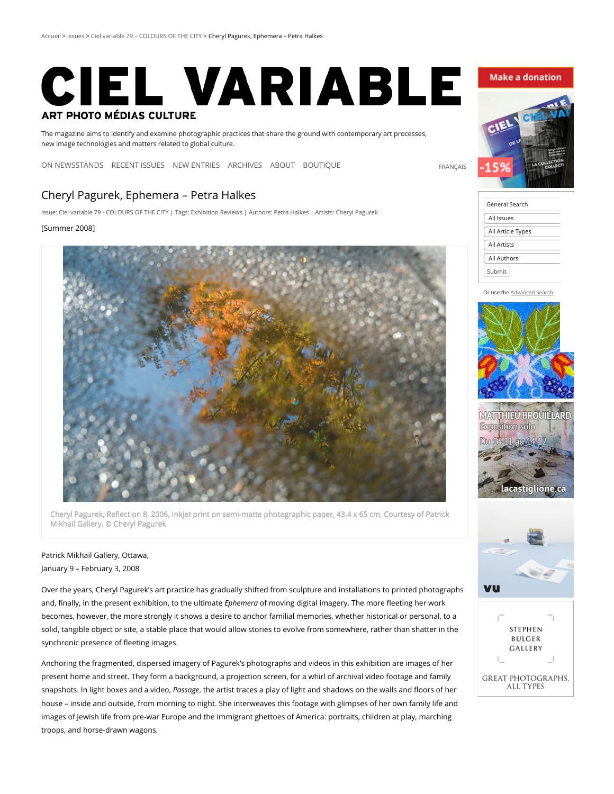# CIEL VARIABLE **ART PHOTO MÉDIAS CULTURE**

The magazine aims to identify and examine photographic practices that share the ground with contemporary art processes, new image technologies and matters related to global culture.

[ON NEWSSTANDS](http://cielvariable.ca/en/issues/ciel-variable-113-trans-identities/) [RECENT ISSUES](http://cielvariable.ca/en/recent-issues/) [NEW ENTRIES](http://cielvariable.ca/en/new-entries/) [ARCHIVES](http://cielvariable.ca/en/archives/) [ABOUT](http://cielvariable.ca/en/about-cv/) [BOUTIQUE](http://en.boutique.cielvariable.ca/)

# Cheryl Pagurek, Ephemera – Petra Halkes

Issue: Ciel variable 79 - [COLOURS](http://cielvariable.ca/en/numeroscv/ciel-variable-079-colours-of-the-city-en/) OF THE CITY | Tags: [Exhibition](http://cielvariable.ca/en/tag/4_exhibition/) Reviews | Authors: Petra [Halkes](http://cielvariable.ca/en/auteurscv/halkes-petra-en/) | Artists: Cheryl [Pagurek](http://cielvariable.ca/en/artistescv/pagurek-cheryl-en/)

#### [Summer 2008]



Cheryl Pagurek, Reflection 8, 2006, Inkjet print on semi-matte photographic paper, 43.4 x 65 cm, Courtesy of Patrick Mikhail Gallery. © Cheryl Pagurek

## Patrick Mikhail Gallery, Ottawa, January 9 – February 3, 2008

Over the years, Cheryl Pagurek's art practice has gradually shifted from sculpture and installations to printed photographs and, finally, in the present exhibition, to the ultimate *Ephemera* of moving digital imagery. The more fleeting her work becomes, however, the more strongly it shows a desire to anchor familial memories, whether historical or personal, to a solid, tangible object or site, a stable place that would allow stories to evolve from somewhere, rather than shatter in the synchronic presence of fleeting images.

Anchoring the fragmented, dispersed imagery of Pagurek's photographs and videos in this exhibition are images of her present home and street. They form a background, a projection screen, for a whirl of archival video footage and family snapshots. In light boxes and a video, Passage, the artist traces a play of light and shadows on the walls and floors of her house – inside and outside, from morning to night. She interweaves this footage with glimpses of her own family life and images of Jewish life from pre-war Europe and the immigrant ghettoes of America: portraits, children at play, marching troops, and horse-drawn wagons.

### **Make a donation**



[FRANÇAIS](http://cielvariable.ca/numeros/ciel-variable-79-les-couleurs-de-la-ville/cheryl-pagurek-ephemera-petra-halkes/)

| General Search     |  |
|--------------------|--|
| All Issues         |  |
| All Article Types  |  |
| <b>All Artists</b> |  |
| All Authors        |  |
| Submit             |  |